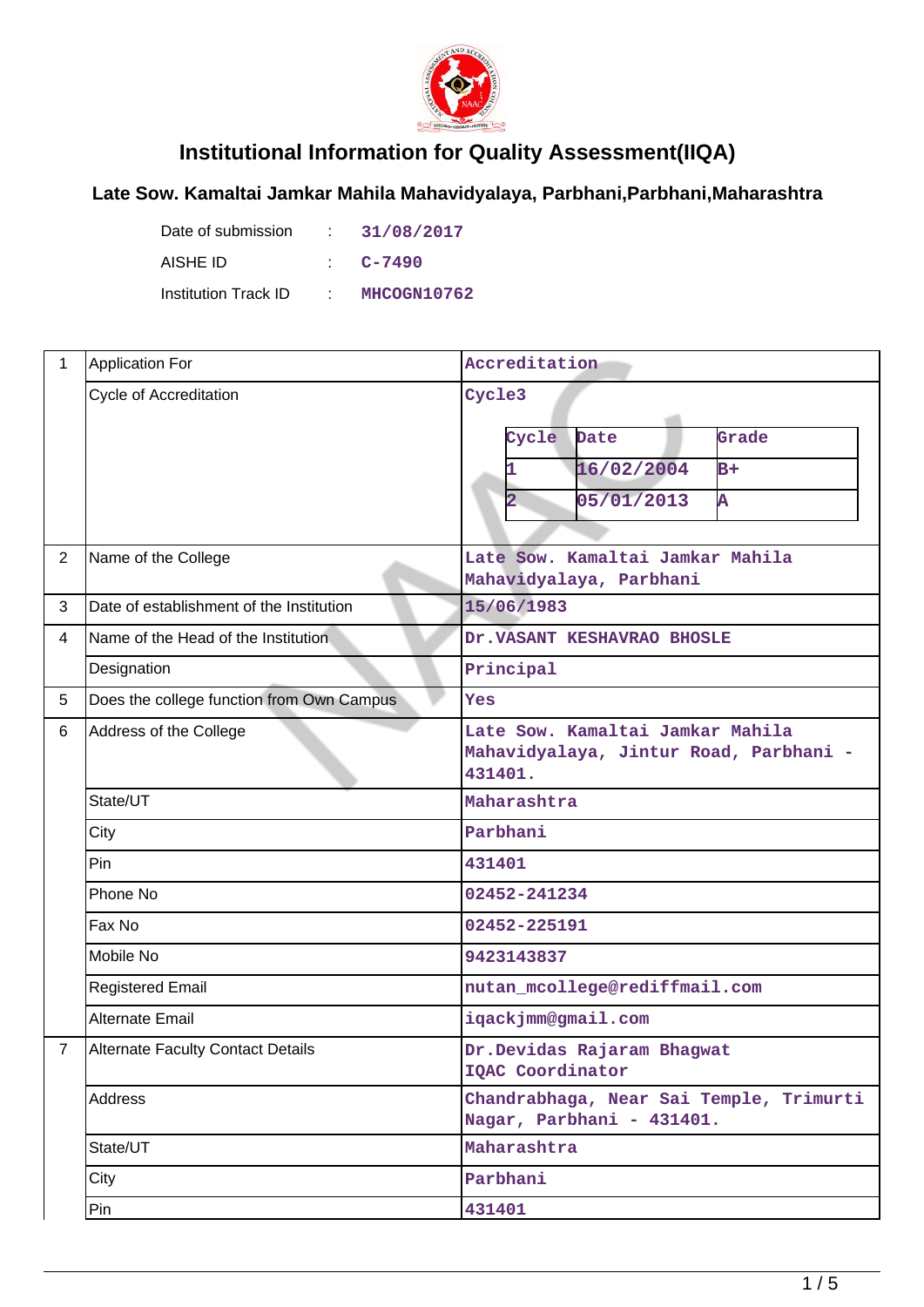

## **Institutional Information for Quality Assessment(IIQA)**

## **Late Sow. Kamaltai Jamkar Mahila Mahavidyalaya, Parbhani,Parbhani,Maharashtra**

Date of submission : 31/08/2017 AISHE ID : **C-7490** Institution Track ID : **MHCOGN10762**

| $\mathbf{1}$   | <b>Application For</b>                    | Accreditation                                                                         |  |  |
|----------------|-------------------------------------------|---------------------------------------------------------------------------------------|--|--|
|                | Cycle of Accreditation                    | Cycle3                                                                                |  |  |
|                |                                           | Date<br>Grade<br>Cycle                                                                |  |  |
|                |                                           | 16/02/2004<br>$B+$                                                                    |  |  |
|                |                                           | 05/01/2013<br>Ā<br>$\mathbf{2}$                                                       |  |  |
|                |                                           |                                                                                       |  |  |
| $\overline{2}$ | Name of the College                       | Late Sow. Kamaltai Jamkar Mahila<br>Mahavidyalaya, Parbhani                           |  |  |
| 3              | Date of establishment of the Institution  | 15/06/1983                                                                            |  |  |
| 4              | Name of the Head of the Institution       | Dr. VASANT KESHAVRAO BHOSLE                                                           |  |  |
|                | Designation                               | Principal                                                                             |  |  |
| 5              | Does the college function from Own Campus | Yes                                                                                   |  |  |
| 6              | Address of the College                    | Late Sow. Kamaltai Jamkar Mahila<br>Mahavidyalaya, Jintur Road, Parbhani -<br>431401. |  |  |
|                | State/UT                                  | Maharashtra                                                                           |  |  |
|                | City                                      | Parbhani                                                                              |  |  |
|                | Pin                                       | 431401                                                                                |  |  |
|                | Phone No                                  | 02452-241234                                                                          |  |  |
|                | Fax No                                    | 02452-225191                                                                          |  |  |
|                | Mobile No                                 | 9423143837                                                                            |  |  |
|                | <b>Registered Email</b>                   | nutan_mcollege@rediffmail.com                                                         |  |  |
|                | <b>Alternate Email</b>                    | iqackjmm@gmail.com                                                                    |  |  |
| 7              | Alternate Faculty Contact Details         | Dr. Devidas Rajaram Bhagwat<br>IQAC Coordinator                                       |  |  |
|                | Address                                   | Chandrabhaga, Near Sai Temple, Trimurti<br>Nagar, Parbhani - 431401.                  |  |  |
|                | State/UT                                  | Maharashtra                                                                           |  |  |
|                | City                                      | Parbhani                                                                              |  |  |
|                | Pin                                       | 431401                                                                                |  |  |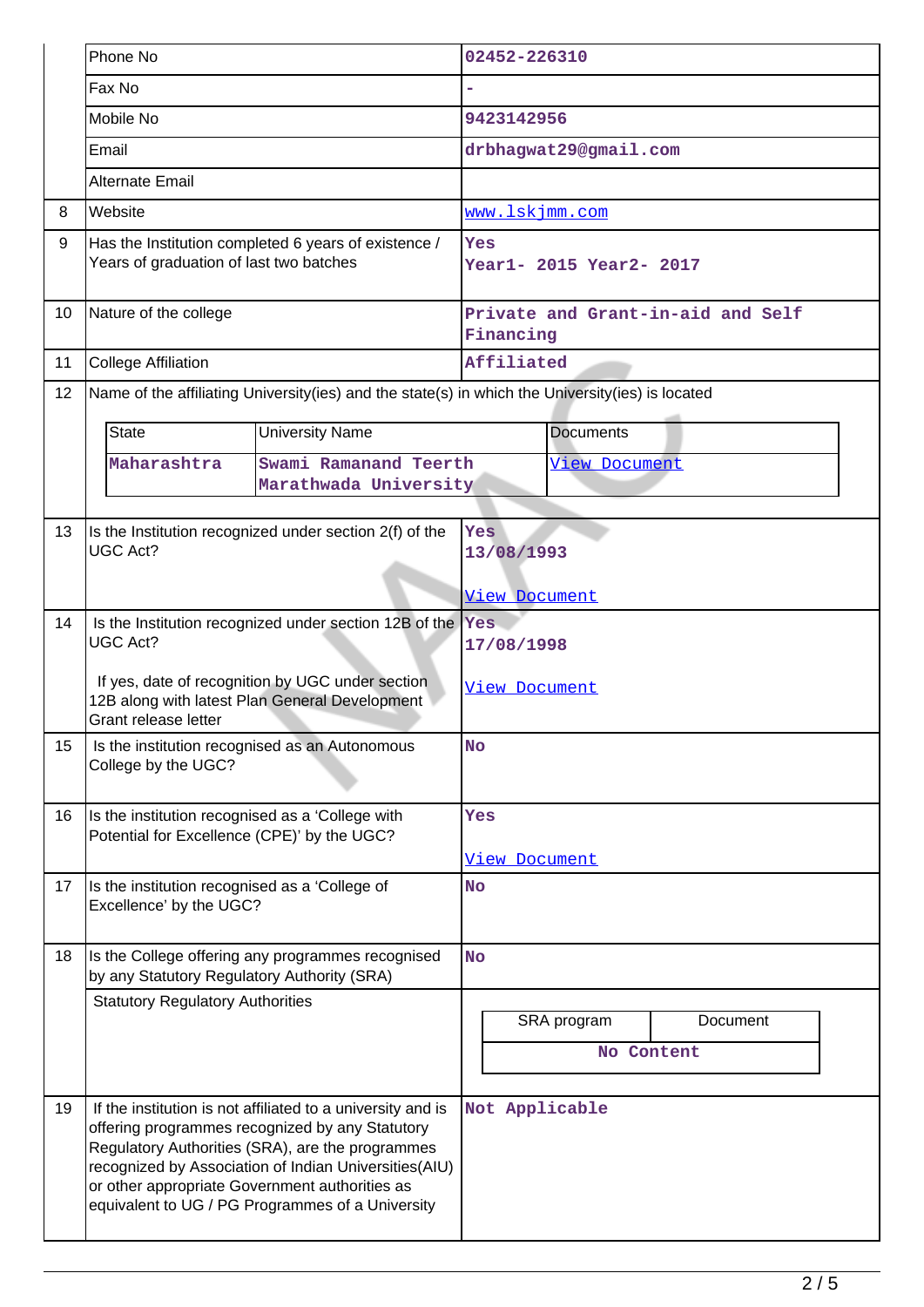|    | Phone No                                                                                                                   |                                                                                                                                                                                                                                                                                 | 02452-226310                                   |                  |          |  |
|----|----------------------------------------------------------------------------------------------------------------------------|---------------------------------------------------------------------------------------------------------------------------------------------------------------------------------------------------------------------------------------------------------------------------------|------------------------------------------------|------------------|----------|--|
|    | Fax No                                                                                                                     |                                                                                                                                                                                                                                                                                 |                                                |                  |          |  |
|    | Mobile No                                                                                                                  |                                                                                                                                                                                                                                                                                 | 9423142956                                     |                  |          |  |
|    | Email                                                                                                                      |                                                                                                                                                                                                                                                                                 | drbhagwat29@gmail.com                          |                  |          |  |
|    | <b>Alternate Email</b>                                                                                                     |                                                                                                                                                                                                                                                                                 |                                                |                  |          |  |
| 8  | Website                                                                                                                    |                                                                                                                                                                                                                                                                                 | www.lskjmm.com                                 |                  |          |  |
| 9  | Has the Institution completed 6 years of existence /<br>Years of graduation of last two batches                            |                                                                                                                                                                                                                                                                                 | Yes<br>Year1- 2015 Year2- 2017                 |                  |          |  |
| 10 | Nature of the college                                                                                                      |                                                                                                                                                                                                                                                                                 | Private and Grant-in-aid and Self<br>Financing |                  |          |  |
| 11 | <b>College Affiliation</b>                                                                                                 |                                                                                                                                                                                                                                                                                 | Affiliated                                     |                  |          |  |
| 12 |                                                                                                                            | Name of the affiliating University(ies) and the state(s) in which the University(ies) is located                                                                                                                                                                                |                                                |                  |          |  |
|    | <b>State</b>                                                                                                               | <b>University Name</b>                                                                                                                                                                                                                                                          |                                                | <b>Documents</b> |          |  |
|    | Maharashtra                                                                                                                | Swami Ramanand Teerth                                                                                                                                                                                                                                                           |                                                | View Document    |          |  |
|    |                                                                                                                            | Marathwada University                                                                                                                                                                                                                                                           |                                                |                  |          |  |
| 13 |                                                                                                                            | Is the Institution recognized under section 2(f) of the                                                                                                                                                                                                                         | Yes                                            |                  |          |  |
|    | <b>UGC Act?</b>                                                                                                            |                                                                                                                                                                                                                                                                                 | 13/08/1993                                     |                  |          |  |
|    |                                                                                                                            |                                                                                                                                                                                                                                                                                 | <u>View Document</u>                           |                  |          |  |
| 14 |                                                                                                                            | Is the Institution recognized under section 12B of the $\sqrt{Y}$ es                                                                                                                                                                                                            |                                                |                  |          |  |
|    | <b>UGC Act?</b>                                                                                                            |                                                                                                                                                                                                                                                                                 | 17/08/1998                                     |                  |          |  |
|    | If yes, date of recognition by UGC under section<br>12B along with latest Plan General Development<br>Grant release letter |                                                                                                                                                                                                                                                                                 | View Document                                  |                  |          |  |
| 15 | Is the institution recognised as an Autonomous<br>College by the UGC?                                                      |                                                                                                                                                                                                                                                                                 | <b>No</b>                                      |                  |          |  |
| 16 | Is the institution recognised as a 'College with<br>Potential for Excellence (CPE)' by the UGC?                            |                                                                                                                                                                                                                                                                                 | Yes                                            |                  |          |  |
|    |                                                                                                                            |                                                                                                                                                                                                                                                                                 | <u>View Document</u>                           |                  |          |  |
| 17 | Is the institution recognised as a 'College of<br>Excellence' by the UGC?                                                  |                                                                                                                                                                                                                                                                                 | <b>No</b>                                      |                  |          |  |
| 18 | Is the College offering any programmes recognised<br>by any Statutory Regulatory Authority (SRA)                           |                                                                                                                                                                                                                                                                                 | <b>No</b>                                      |                  |          |  |
|    | <b>Statutory Regulatory Authorities</b>                                                                                    |                                                                                                                                                                                                                                                                                 |                                                |                  |          |  |
|    |                                                                                                                            |                                                                                                                                                                                                                                                                                 |                                                | SRA program      | Document |  |
|    |                                                                                                                            |                                                                                                                                                                                                                                                                                 |                                                | No Content       |          |  |
| 19 | or other appropriate Government authorities as                                                                             | If the institution is not affiliated to a university and is<br>offering programmes recognized by any Statutory<br>Regulatory Authorities (SRA), are the programmes<br>recognized by Association of Indian Universities(AIU)<br>equivalent to UG / PG Programmes of a University | Not Applicable                                 |                  |          |  |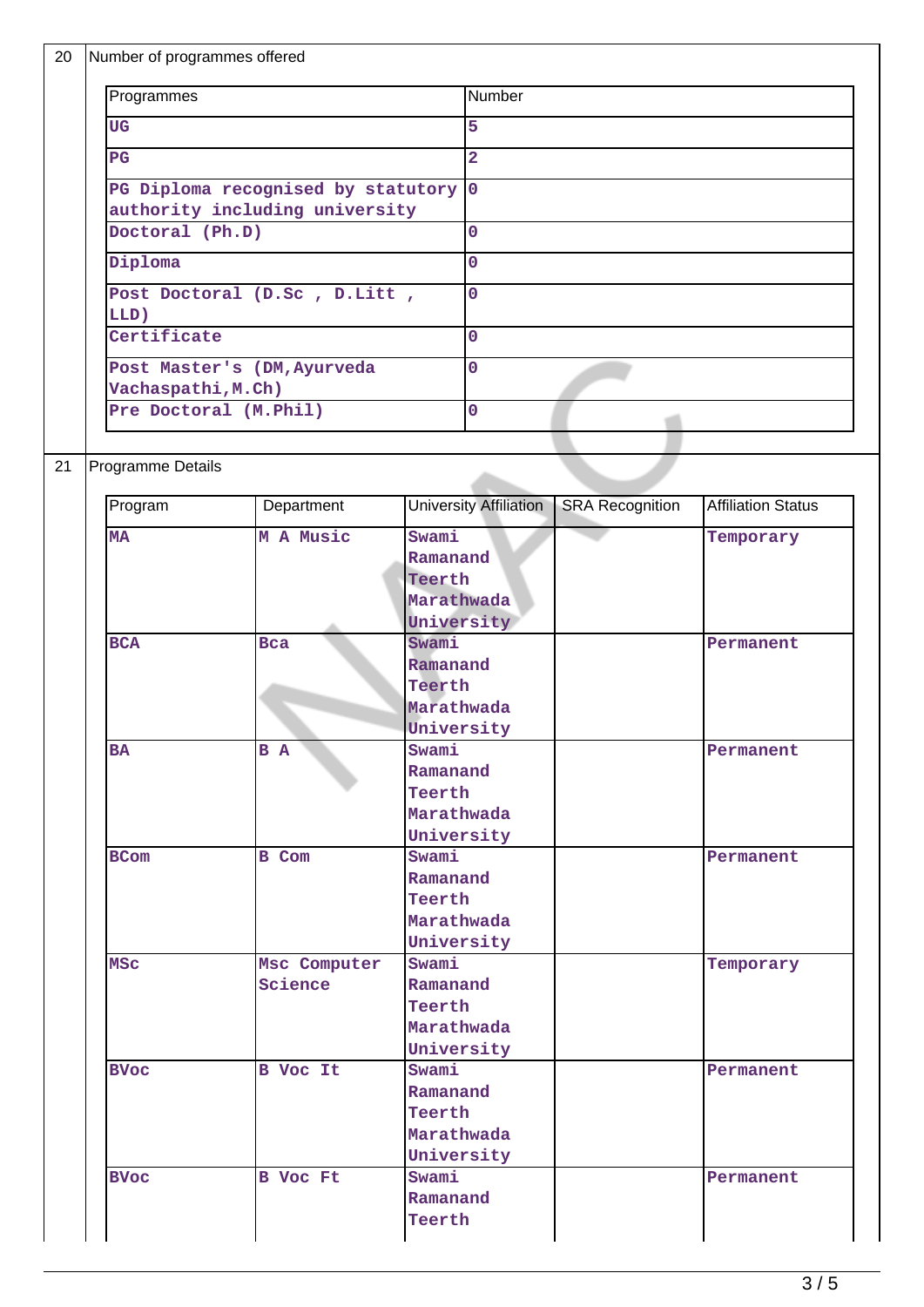|                 | Number of programmes offered                      |                |                     |                               |                        |                           |
|-----------------|---------------------------------------------------|----------------|---------------------|-------------------------------|------------------------|---------------------------|
| Programmes      |                                                   | Number         |                     |                               |                        |                           |
| <b>UG</b>       |                                                   | $\overline{5}$ |                     |                               |                        |                           |
|                 | $_{\rm PG}$                                       |                | $\overline{2}$      |                               |                        |                           |
|                 | PG Diploma recognised by statutory 0              |                |                     |                               |                        |                           |
|                 | authority including university                    |                |                     |                               |                        |                           |
| Doctoral (Ph.D) |                                                   |                | $\mathbf 0$         |                               |                        |                           |
| Diploma         |                                                   | $\overline{0}$ |                     |                               |                        |                           |
|                 | Post Doctoral (D.Sc, D.Litt,                      |                | $\mathbf{O}$        |                               |                        |                           |
|                 | LLD)<br>Certificate                               |                | $\overline{0}$      |                               |                        |                           |
|                 |                                                   |                |                     | $\mathbf 0$                   |                        |                           |
|                 | Post Master's (DM, Ayurveda<br>Vachaspathi, M.Ch) |                |                     |                               |                        |                           |
|                 | Pre Doctoral (M. Phil)                            |                |                     | $\overline{0}$                |                        |                           |
|                 |                                                   |                |                     |                               |                        |                           |
|                 | Programme Details                                 |                |                     |                               |                        |                           |
|                 |                                                   |                |                     |                               |                        |                           |
|                 | Program                                           | Department     |                     | <b>University Affiliation</b> | <b>SRA Recognition</b> | <b>Affiliation Status</b> |
|                 | <b>MA</b>                                         | M A Music      | Swami               |                               |                        | Temporary                 |
|                 |                                                   |                | Ramanand            |                               |                        |                           |
|                 |                                                   |                | Teerth              |                               |                        |                           |
|                 |                                                   |                | Marathwada          |                               |                        |                           |
|                 |                                                   |                | University          |                               |                        |                           |
|                 | <b>BCA</b>                                        | <b>Bca</b>     | Swami               |                               |                        | Permanent                 |
|                 |                                                   |                | Ramanand            |                               |                        |                           |
|                 |                                                   |                | Teerth              |                               |                        |                           |
|                 |                                                   |                | Marathwada          |                               |                        |                           |
|                 |                                                   |                | University          |                               |                        |                           |
|                 | B A<br><b>BA</b>                                  |                | Swami               |                               |                        | Permanent                 |
|                 |                                                   |                | Ramanand            |                               |                        |                           |
|                 |                                                   |                | Teerth              |                               |                        |                           |
|                 |                                                   |                | Marathwada          |                               |                        |                           |
|                 |                                                   |                |                     | University                    |                        |                           |
|                 | <b>BCom</b>                                       | B Com          | Swami               |                               |                        | Permanent                 |
|                 |                                                   |                | Ramanand<br>Teerth  |                               |                        |                           |
|                 |                                                   |                |                     |                               |                        |                           |
|                 |                                                   |                |                     |                               |                        |                           |
|                 |                                                   |                | Marathwada          |                               |                        |                           |
|                 |                                                   |                | University          |                               |                        |                           |
|                 | <b>MSC</b>                                        | Msc Computer   | Swami               |                               |                        | Temporary                 |
|                 |                                                   | Science        | Ramanand            |                               |                        |                           |
|                 |                                                   |                | Teerth              |                               |                        |                           |
|                 |                                                   |                | Marathwada          |                               |                        |                           |
|                 |                                                   |                | University          |                               |                        |                           |
|                 | <b>BVoc</b>                                       | B Voc It       | Swami               |                               |                        | Permanent                 |
|                 |                                                   |                | Ramanand            |                               |                        |                           |
|                 |                                                   |                | Teerth              |                               |                        |                           |
|                 |                                                   |                | Marathwada          |                               |                        |                           |
|                 |                                                   |                |                     |                               |                        |                           |
|                 | <b>BVoc</b>                                       | B Voc Ft       | University<br>Swami |                               |                        | Permanent                 |
|                 |                                                   |                | Ramanand            |                               |                        |                           |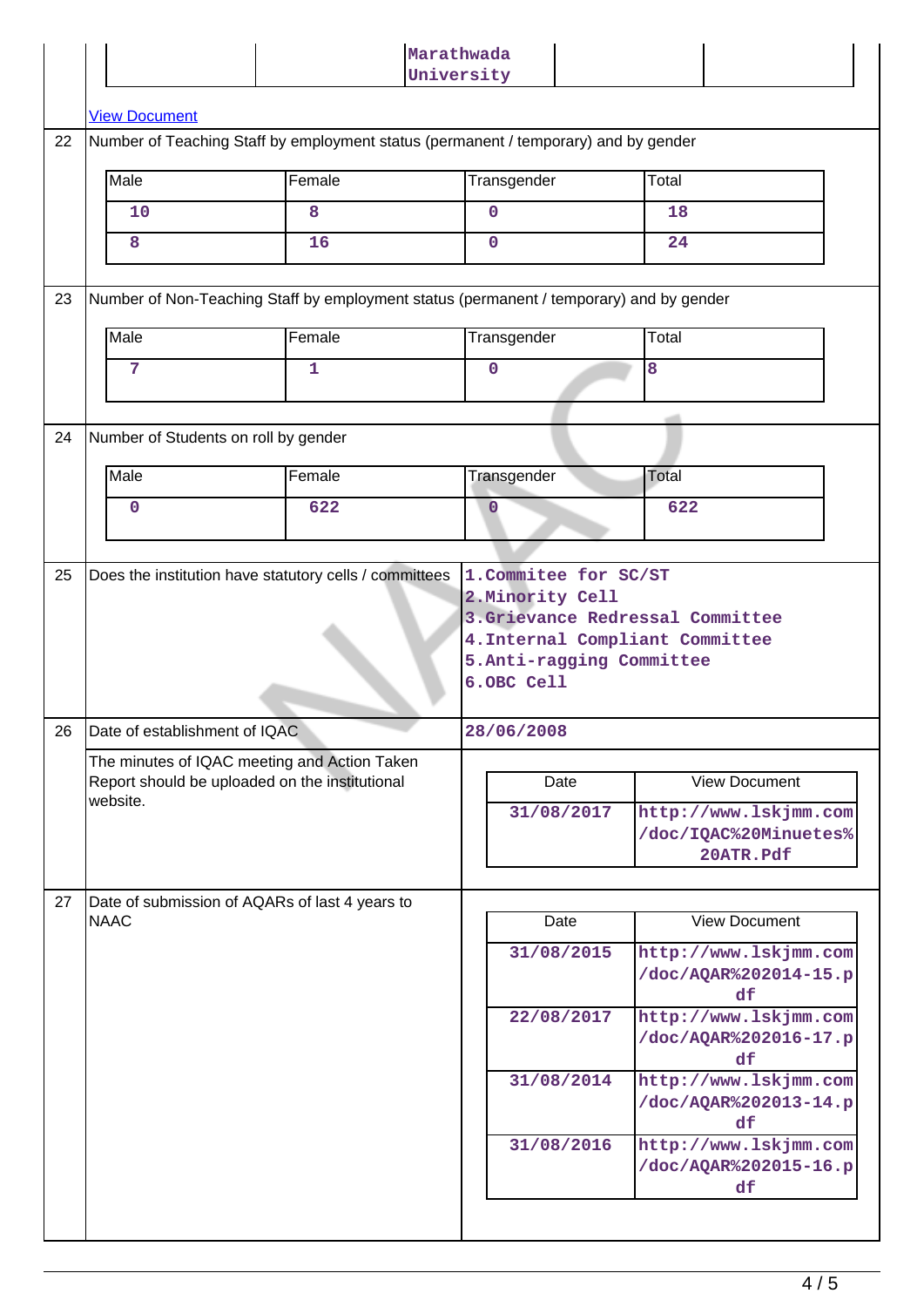|    |                                                                                                                             |                                                        | Marathwada<br>University |                                                             |  |  |  |  |
|----|-----------------------------------------------------------------------------------------------------------------------------|--------------------------------------------------------|--------------------------|-------------------------------------------------------------|--|--|--|--|
|    | <b>View Document</b>                                                                                                        |                                                        |                          |                                                             |  |  |  |  |
| 22 | Number of Teaching Staff by employment status (permanent / temporary) and by gender                                         |                                                        |                          |                                                             |  |  |  |  |
|    | Male                                                                                                                        | Female                                                 | Transgender              | Total                                                       |  |  |  |  |
|    | 10                                                                                                                          | 8                                                      | $\mathbf 0$              | 18                                                          |  |  |  |  |
|    | 8                                                                                                                           | 16                                                     | $\mathbf 0$              | 24                                                          |  |  |  |  |
| 23 | Number of Non-Teaching Staff by employment status (permanent / temporary) and by gender                                     |                                                        |                          |                                                             |  |  |  |  |
|    | Male                                                                                                                        | Female                                                 | Transgender              | Total                                                       |  |  |  |  |
|    | 7                                                                                                                           | 1                                                      | $\mathbf 0$              | 8                                                           |  |  |  |  |
|    |                                                                                                                             |                                                        |                          |                                                             |  |  |  |  |
| 24 | Number of Students on roll by gender                                                                                        |                                                        |                          |                                                             |  |  |  |  |
|    | Male                                                                                                                        | Female                                                 | Transgender              | Total                                                       |  |  |  |  |
|    | $\mathbf 0$                                                                                                                 | 622                                                    | $\mathbf 0$              | 622                                                         |  |  |  |  |
| 25 |                                                                                                                             | Does the institution have statutory cells / committees | 1. Commitee for SC/ST    |                                                             |  |  |  |  |
|    | 4. Internal Compliant Committee<br>5.Anti-ragging Committee<br>6.OBC Cell<br>26 Date of establishment of IQAC<br>28/06/2008 |                                                        |                          |                                                             |  |  |  |  |
|    | The minutes of IQAC meeting and Action Taken                                                                                |                                                        |                          |                                                             |  |  |  |  |
|    | Report should be uploaded on the institutional<br>website.                                                                  |                                                        | Date                     | <b>View Document</b>                                        |  |  |  |  |
|    |                                                                                                                             |                                                        | 31/08/2017               | http://www.lskjmm.com<br>/doc/IQAC%20Minuetes%<br>20ATR.Pdf |  |  |  |  |
| 27 |                                                                                                                             |                                                        |                          |                                                             |  |  |  |  |
|    | Date of submission of AQARs of last 4 years to<br><b>NAAC</b>                                                               |                                                        | Date                     | <b>View Document</b>                                        |  |  |  |  |
|    |                                                                                                                             |                                                        | 31/08/2015               | http://www.lskjmm.com<br>/doc/AQAR%202014-15.p<br>df        |  |  |  |  |
|    |                                                                                                                             |                                                        | 22/08/2017               | http://www.lskjmm.com<br>/doc/AQAR%202016-17.p<br>df        |  |  |  |  |
|    |                                                                                                                             |                                                        | 31/08/2014               | http://www.lskjmm.com<br>/doc/AQAR%202013-14.p<br>df        |  |  |  |  |
|    |                                                                                                                             |                                                        | 31/08/2016               | http://www.lskjmm.com<br>/doc/AQAR%202015-16.p<br>df        |  |  |  |  |
|    |                                                                                                                             |                                                        |                          |                                                             |  |  |  |  |